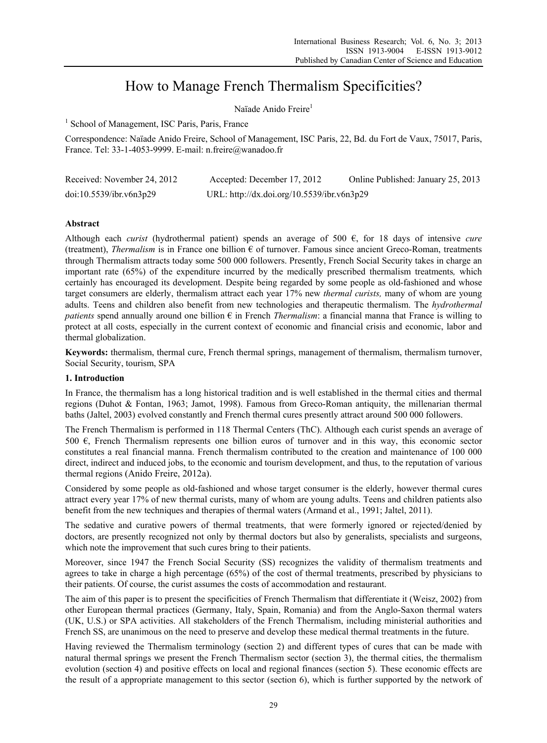# How to Manage French Thermalism Specificities?

Naïade Anido Freire<sup>1</sup>

<sup>1</sup> School of Management, ISC Paris, Paris, France

Correspondence: Naïade Anido Freire, School of Management, ISC Paris, 22, Bd. du Fort de Vaux, 75017, Paris, France. Tel: 33-1-4053-9999. E-mail: n.freire@wanadoo.fr

| Received: November 24, 2012 | Accepted: December 17, 2012                | Online Published: January 25, 2013 |
|-----------------------------|--------------------------------------------|------------------------------------|
| doi:10.5539/ibr.v6n3p29     | URL: http://dx.doi.org/10.5539/ibr.v6n3p29 |                                    |

# **Abstract**

Although each *curist* (hydrothermal patient) spends an average of 500 €, for 18 days of intensive *cure* (treatment), *Thermalism* is in France one billion  $\epsilon$  of turnover. Famous since ancient Greco-Roman, treatments through Thermalism attracts today some 500 000 followers. Presently, French Social Security takes in charge an important rate (65%) of the expenditure incurred by the medically prescribed thermalism treatments*,* which certainly has encouraged its development. Despite being regarded by some people as old-fashioned and whose target consumers are elderly, thermalism attract each year 17% new *thermal curists,* many of whom are young adults. Teens and children also benefit from new technologies and therapeutic thermalism. The *hydrothermal patients* spend annually around one billion  $\epsilon$  in French *Thermalism*: a financial manna that France is willing to protect at all costs, especially in the current context of economic and financial crisis and economic, labor and thermal globalization.

**Keywords:** thermalism, thermal cure, French thermal springs, management of thermalism, thermalism turnover, Social Security, tourism, SPA

#### **1. Introduction**

In France, the thermalism has a long historical tradition and is well established in the thermal cities and thermal regions (Duhot & Fontan, 1963; Jamot, 1998). Famous from Greco-Roman antiquity, the millenarian thermal baths (Jaltel, 2003) evolved constantly and French thermal cures presently attract around 500 000 followers.

The French Thermalism is performed in 118 Thermal Centers (ThC). Although each curist spends an average of 500  $\epsilon$ , French Thermalism represents one billion euros of turnover and in this way, this economic sector constitutes a real financial manna. French thermalism contributed to the creation and maintenance of 100 000 direct, indirect and induced jobs, to the economic and tourism development, and thus, to the reputation of various thermal regions (Anido Freire, 2012a).

Considered by some people as old-fashioned and whose target consumer is the elderly, however thermal cures attract every year 17% of new thermal curists, many of whom are young adults. Teens and children patients also benefit from the new techniques and therapies of thermal waters (Armand et al., 1991; Jaltel, 2011).

The sedative and curative powers of thermal treatments, that were formerly ignored or rejected/denied by doctors, are presently recognized not only by thermal doctors but also by generalists, specialists and surgeons, which note the improvement that such cures bring to their patients.

Moreover, since 1947 the French Social Security (SS) recognizes the validity of thermalism treatments and agrees to take in charge a high percentage (65%) of the cost of thermal treatments, prescribed by physicians to their patients. Of course, the curist assumes the costs of accommodation and restaurant.

The aim of this paper is to present the specificities of French Thermalism that differentiate it (Weisz, 2002) from other European thermal practices (Germany, Italy, Spain, Romania) and from the Anglo-Saxon thermal waters (UK, U.S.) or SPA activities. All stakeholders of the French Thermalism, including ministerial authorities and French SS, are unanimous on the need to preserve and develop these medical thermal treatments in the future.

Having reviewed the Thermalism terminology (section 2) and different types of cures that can be made with natural thermal springs we present the French Thermalism sector (section 3), the thermal cities, the thermalism evolution (section 4) and positive effects on local and regional finances (section 5). These economic effects are the result of a appropriate management to this sector (section 6), which is further supported by the network of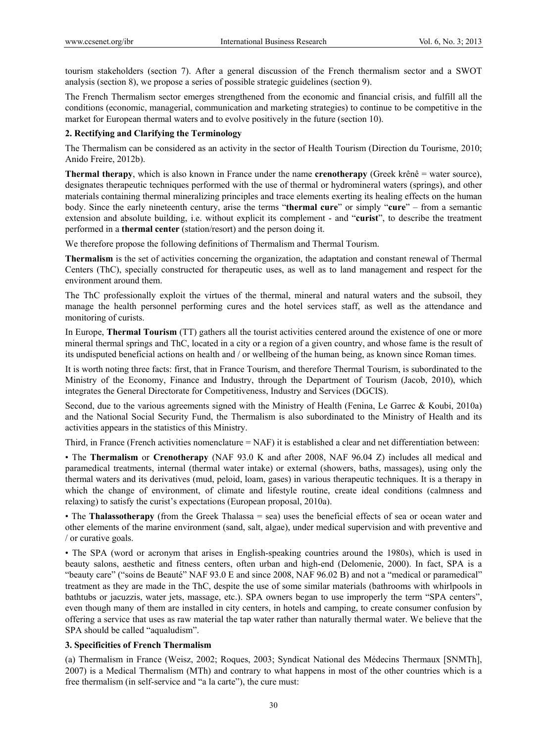tourism stakeholders (section 7). After a general discussion of the French thermalism sector and a SWOT analysis (section 8), we propose a series of possible strategic guidelines (section 9).

The French Thermalism sector emerges strengthened from the economic and financial crisis, and fulfill all the conditions (economic, managerial, communication and marketing strategies) to continue to be competitive in the market for European thermal waters and to evolve positively in the future (section 10).

### **2. Rectifying and Clarifying the Terminology**

The Thermalism can be considered as an activity in the sector of Health Tourism (Direction du Tourisme, 2010; Anido Freire, 2012b).

**Thermal therapy**, which is also known in France under the name **crenotherapy** (Greek krênê = water source), designates therapeutic techniques performed with the use of thermal or hydromineral waters (springs), and other materials containing thermal mineralizing principles and trace elements exerting its healing effects on the human body. Since the early nineteenth century, arise the terms "**thermal cure**" or simply "**cure**" – from a semantic extension and absolute building, i.e. without explicit its complement - and "**curist**", to describe the treatment performed in a **thermal center** (station/resort) and the person doing it.

We therefore propose the following definitions of Thermalism and Thermal Tourism.

**Thermalism** is the set of activities concerning the organization, the adaptation and constant renewal of Thermal Centers (ThC), specially constructed for therapeutic uses, as well as to land management and respect for the environment around them.

The ThC professionally exploit the virtues of the thermal, mineral and natural waters and the subsoil, they manage the health personnel performing cures and the hotel services staff, as well as the attendance and monitoring of curists.

In Europe, **Thermal Tourism** (TT) gathers all the tourist activities centered around the existence of one or more mineral thermal springs and ThC, located in a city or a region of a given country, and whose fame is the result of its undisputed beneficial actions on health and / or wellbeing of the human being, as known since Roman times.

It is worth noting three facts: first, that in France Tourism, and therefore Thermal Tourism, is subordinated to the Ministry of the Economy, Finance and Industry, through the Department of Tourism (Jacob, 2010), which integrates the General Directorate for Competitiveness, Industry and Services (DGCIS).

Second, due to the various agreements signed with the Ministry of Health (Fenina, Le Garrec & Koubi, 2010a) and the National Social Security Fund, the Thermalism is also subordinated to the Ministry of Health and its activities appears in the statistics of this Ministry.

Third, in France (French activities nomenclature = NAF) it is established a clear and net differentiation between:

• The **Thermalism** or **Crenotherapy** (NAF 93.0 K and after 2008, NAF 96.04 Z) includes all medical and paramedical treatments, internal (thermal water intake) or external (showers, baths, massages), using only the thermal waters and its derivatives (mud, peloid, loam, gases) in various therapeutic techniques. It is a therapy in which the change of environment, of climate and lifestyle routine, create ideal conditions (calmness and relaxing) to satisfy the curist's expectations (European proposal, 2010a).

• The **Thalassotherapy** (from the Greek Thalassa = sea) uses the beneficial effects of sea or ocean water and other elements of the marine environment (sand, salt, algae), under medical supervision and with preventive and / or curative goals.

• The SPA (word or acronym that arises in English-speaking countries around the 1980s), which is used in beauty salons, aesthetic and fitness centers, often urban and high-end (Delomenie, 2000). In fact, SPA is a "beauty care" ("soins de Beauté" NAF 93.0 E and since 2008, NAF 96.02 B) and not a "medical or paramedical" treatment as they are made in the ThC, despite the use of some similar materials (bathrooms with whirlpools in bathtubs or jacuzzis, water jets, massage, etc.). SPA owners began to use improperly the term "SPA centers", even though many of them are installed in city centers, in hotels and camping, to create consumer confusion by offering a service that uses as raw material the tap water rather than naturally thermal water. We believe that the SPA should be called "aqualudism".

# **3. Specificities of French Thermalism**

(a) Thermalism in France (Weisz, 2002; Roques, 2003; Syndicat National des Médecins Thermaux [SNMTh], 2007) is a Medical Thermalism (MTh) and contrary to what happens in most of the other countries which is a free thermalism (in self-service and "a la carte"), the cure must: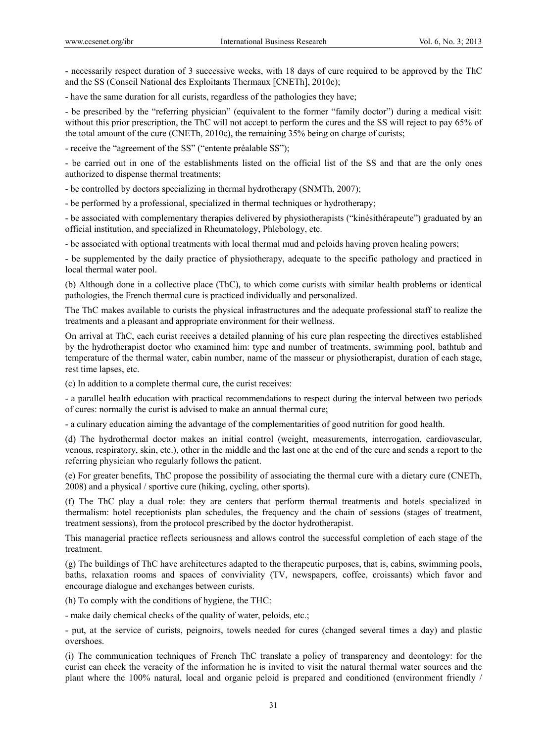- necessarily respect duration of 3 successive weeks, with 18 days of cure required to be approved by the ThC and the SS (Conseil National des Exploitants Thermaux [CNETh], 2010c);

- have the same duration for all curists, regardless of the pathologies they have;

- be prescribed by the "referring physician" (equivalent to the former "family doctor") during a medical visit: without this prior prescription, the ThC will not accept to perform the cures and the SS will reject to pay 65% of the total amount of the cure (CNETh, 2010c), the remaining 35% being on charge of curists;

- receive the "agreement of the SS" ("entente préalable SS");

- be carried out in one of the establishments listed on the official list of the SS and that are the only ones authorized to dispense thermal treatments;

- be controlled by doctors specializing in thermal hydrotherapy (SNMTh, 2007);

- be performed by a professional, specialized in thermal techniques or hydrotherapy;

- be associated with complementary therapies delivered by physiotherapists ("kinésithérapeute") graduated by an official institution, and specialized in Rheumatology, Phlebology, etc.

- be associated with optional treatments with local thermal mud and peloids having proven healing powers;

- be supplemented by the daily practice of physiotherapy, adequate to the specific pathology and practiced in local thermal water pool.

(b) Although done in a collective place (ThC), to which come curists with similar health problems or identical pathologies, the French thermal cure is practiced individually and personalized.

The ThC makes available to curists the physical infrastructures and the adequate professional staff to realize the treatments and a pleasant and appropriate environment for their wellness.

On arrival at ThC, each curist receives a detailed planning of his cure plan respecting the directives established by the hydrotherapist doctor who examined him: type and number of treatments, swimming pool, bathtub and temperature of the thermal water, cabin number, name of the masseur or physiotherapist, duration of each stage, rest time lapses, etc.

(c) In addition to a complete thermal cure, the curist receives:

- a parallel health education with practical recommendations to respect during the interval between two periods of cures: normally the curist is advised to make an annual thermal cure;

- a culinary education aiming the advantage of the complementarities of good nutrition for good health.

(d) The hydrothermal doctor makes an initial control (weight, measurements, interrogation, cardiovascular, venous, respiratory, skin, etc.), other in the middle and the last one at the end of the cure and sends a report to the referring physician who regularly follows the patient.

(e) For greater benefits, ThC propose the possibility of associating the thermal cure with a dietary cure (CNETh, 2008) and a physical / sportive cure (hiking, cycling, other sports).

(f) The ThC play a dual role: they are centers that perform thermal treatments and hotels specialized in thermalism: hotel receptionists plan schedules, the frequency and the chain of sessions (stages of treatment, treatment sessions), from the protocol prescribed by the doctor hydrotherapist.

This managerial practice reflects seriousness and allows control the successful completion of each stage of the treatment.

(g) The buildings of ThC have architectures adapted to the therapeutic purposes, that is, cabins, swimming pools, baths, relaxation rooms and spaces of conviviality (TV, newspapers, coffee, croissants) which favor and encourage dialogue and exchanges between curists.

(h) To comply with the conditions of hygiene, the THC:

- make daily chemical checks of the quality of water, peloids, etc.;

- put, at the service of curists, peignoirs, towels needed for cures (changed several times a day) and plastic overshoes.

(i) The communication techniques of French ThC translate a policy of transparency and deontology: for the curist can check the veracity of the information he is invited to visit the natural thermal water sources and the plant where the 100% natural, local and organic peloid is prepared and conditioned (environment friendly /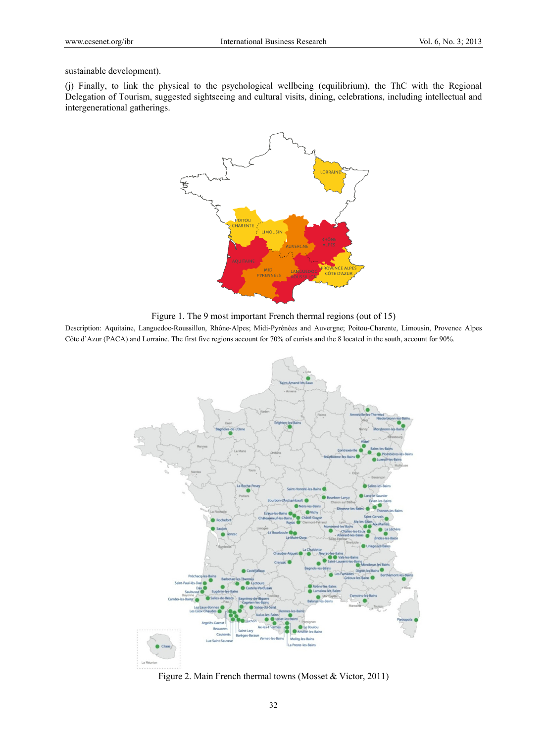sustainable development).

(j) Finally, to link the physical to the psychological wellbeing (equilibrium), the ThC with the Regional Delegation of Tourism, suggested sightseeing and cultural visits, dining, celebrations, including intellectual and intergenerational gatherings.



Figure 1. The 9 most important French thermal regions (out of 15)

Description: Aquitaine, Languedoc-Roussillon, Rhône-Alpes; Midi-Pyrénées and Auvergne; Poitou-Charente, Limousin, Provence Alpes Côte d'Azur (PACA) and Lorraine. The first five regions account for 70% of curists and the 8 located in the south, account for 90%.



Figure 2. Main French thermal towns (Mosset & Victor, 2011)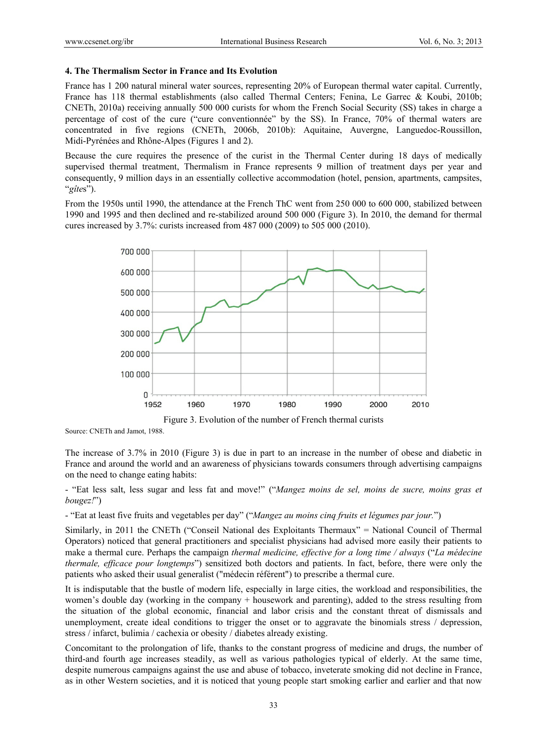#### **4. The Thermalism Sector in France and Its Evolution**

France has 1 200 natural mineral water sources, representing 20% of European thermal water capital. Currently, France has 118 thermal establishments (also called Thermal Centers; Fenina, Le Garrec & Koubi, 2010b; CNETh, 2010a) receiving annually 500 000 curists for whom the French Social Security (SS) takes in charge a percentage of cost of the cure ("cure conventionnée" by the SS). In France, 70% of thermal waters are concentrated in five regions (CNETh, 2006b, 2010b): Aquitaine, Auvergne, Languedoc-Roussillon, Midi-Pyrénées and Rhône-Alpes (Figures 1 and 2).

Because the cure requires the presence of the curist in the Thermal Center during 18 days of medically supervised thermal treatment, Thermalism in France represents 9 million of treatment days per year and consequently, 9 million days in an essentially collective accommodation (hotel, pension, apartments, campsites, "*gîte*s").

From the 1950s until 1990, the attendance at the French ThC went from 250 000 to 600 000, stabilized between 1990 and 1995 and then declined and re-stabilized around 500 000 (Figure 3). In 2010, the demand for thermal cures increased by 3.7%: curists increased from 487 000 (2009) to 505 000 (2010).



Figure 3. Evolution of the number of French thermal curists

Source: CNETh and Jamot, 1988.

The increase of 3.7% in 2010 (Figure 3) is due in part to an increase in the number of obese and diabetic in France and around the world and an awareness of physicians towards consumers through advertising campaigns on the need to change eating habits:

- "Eat less salt, less sugar and less fat and move!" ("*Mangez moins de sel, moins de sucre, moins gras et bougez!*")

- "Eat at least five fruits and vegetables per day" ("*Mangez au moins cinq fruits et légumes par jour.*")

Similarly, in 2011 the CNETh ("Conseil National des Exploitants Thermaux" = National Council of Thermal Operators) noticed that general practitioners and specialist physicians had advised more easily their patients to make a thermal cure. Perhaps the campaign *thermal medicine, effective for a long time / always* ("*La médecine thermale, efficace pour longtemps*") sensitized both doctors and patients. In fact, before, there were only the patients who asked their usual generalist ("médecin référent") to prescribe a thermal cure.

It is indisputable that the bustle of modern life, especially in large cities, the workload and responsibilities, the women's double day (working in the company + housework and parenting), added to the stress resulting from the situation of the global economic, financial and labor crisis and the constant threat of dismissals and unemployment, create ideal conditions to trigger the onset or to aggravate the binomials stress / depression, stress / infarct, bulimia / cachexia or obesity / diabetes already existing.

Concomitant to the prolongation of life, thanks to the constant progress of medicine and drugs, the number of third-and fourth age increases steadily, as well as various pathologies typical of elderly. At the same time, despite numerous campaigns against the use and abuse of tobacco, inveterate smoking did not decline in France, as in other Western societies, and it is noticed that young people start smoking earlier and earlier and that now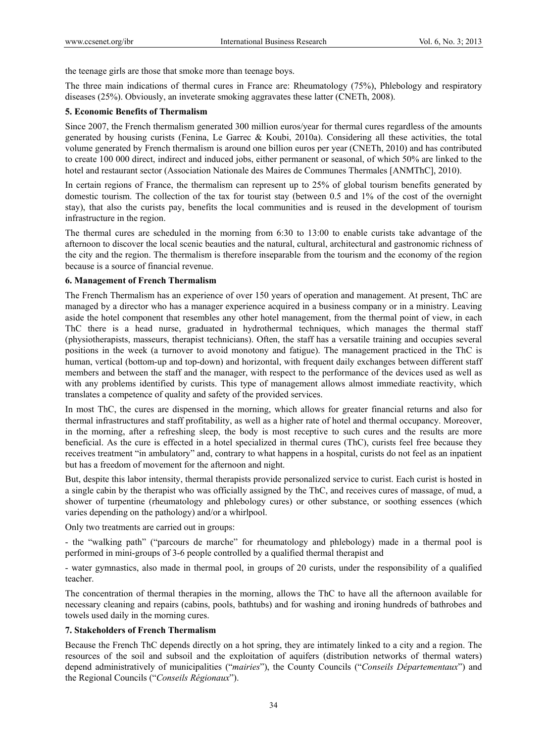the teenage girls are those that smoke more than teenage boys.

The three main indications of thermal cures in France are: Rheumatology (75%), Phlebology and respiratory diseases (25%). Obviously, an inveterate smoking aggravates these latter (CNETh, 2008).

#### **5. Economic Benefits of Thermalism**

Since 2007, the French thermalism generated 300 million euros/year for thermal cures regardless of the amounts generated by housing curists (Fenina, Le Garrec & Koubi, 2010a). Considering all these activities, the total volume generated by French thermalism is around one billion euros per year (CNETh, 2010) and has contributed to create 100 000 direct, indirect and induced jobs, either permanent or seasonal, of which 50% are linked to the hotel and restaurant sector (Association Nationale des Maires de Communes Thermales [ANMThC], 2010).

In certain regions of France, the thermalism can represent up to 25% of global tourism benefits generated by domestic tourism. The collection of the tax for tourist stay (between 0.5 and 1% of the cost of the overnight stay), that also the curists pay, benefits the local communities and is reused in the development of tourism infrastructure in the region.

The thermal cures are scheduled in the morning from 6:30 to 13:00 to enable curists take advantage of the afternoon to discover the local scenic beauties and the natural, cultural, architectural and gastronomic richness of the city and the region. The thermalism is therefore inseparable from the tourism and the economy of the region because is a source of financial revenue.

#### **6. Management of French Thermalism**

The French Thermalism has an experience of over 150 years of operation and management. At present, ThC are managed by a director who has a manager experience acquired in a business company or in a ministry. Leaving aside the hotel component that resembles any other hotel management, from the thermal point of view, in each ThC there is a head nurse, graduated in hydrothermal techniques, which manages the thermal staff (physiotherapists, masseurs, therapist technicians). Often, the staff has a versatile training and occupies several positions in the week (a turnover to avoid monotony and fatigue). The management practiced in the ThC is human, vertical (bottom-up and top-down) and horizontal, with frequent daily exchanges between different staff members and between the staff and the manager, with respect to the performance of the devices used as well as with any problems identified by curists. This type of management allows almost immediate reactivity, which translates a competence of quality and safety of the provided services.

In most ThC, the cures are dispensed in the morning, which allows for greater financial returns and also for thermal infrastructures and staff profitability, as well as a higher rate of hotel and thermal occupancy. Moreover, in the morning, after a refreshing sleep, the body is most receptive to such cures and the results are more beneficial. As the cure is effected in a hotel specialized in thermal cures (ThC), curists feel free because they receives treatment "in ambulatory" and, contrary to what happens in a hospital, curists do not feel as an inpatient but has a freedom of movement for the afternoon and night.

But, despite this labor intensity, thermal therapists provide personalized service to curist. Each curist is hosted in a single cabin by the therapist who was officially assigned by the ThC, and receives cures of massage, of mud, a shower of turpentine (rheumatology and phlebology cures) or other substance, or soothing essences (which varies depending on the pathology) and/or a whirlpool.

Only two treatments are carried out in groups:

- the "walking path" ("parcours de marche" for rheumatology and phlebology) made in a thermal pool is performed in mini-groups of 3-6 people controlled by a qualified thermal therapist and

- water gymnastics, also made in thermal pool, in groups of 20 curists, under the responsibility of a qualified teacher.

The concentration of thermal therapies in the morning, allows the ThC to have all the afternoon available for necessary cleaning and repairs (cabins, pools, bathtubs) and for washing and ironing hundreds of bathrobes and towels used daily in the morning cures.

#### **7. Stakeholders of French Thermalism**

Because the French ThC depends directly on a hot spring, they are intimately linked to a city and a region. The resources of the soil and subsoil and the exploitation of aquifers (distribution networks of thermal waters) depend administratively of municipalities ("*mairies*"), the County Councils ("*Conseils Départementaux*") and the Regional Councils ("*Conseils Régionaux*").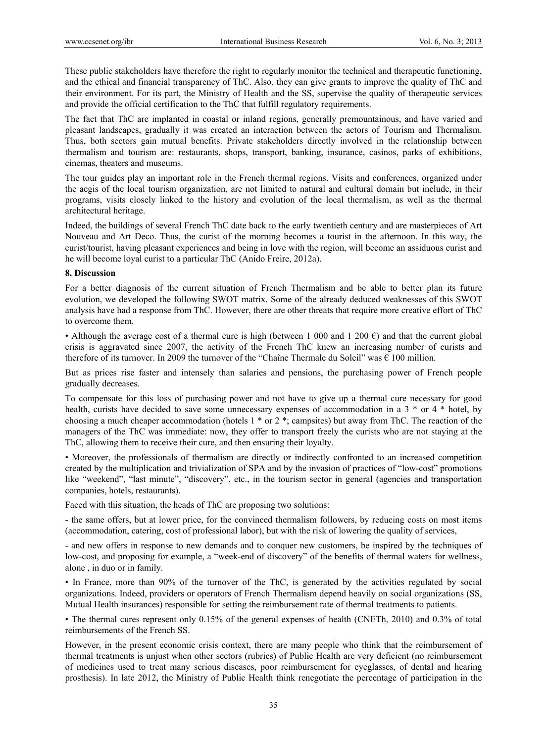These public stakeholders have therefore the right to regularly monitor the technical and therapeutic functioning, and the ethical and financial transparency of ThC. Also, they can give grants to improve the quality of ThC and their environment. For its part, the Ministry of Health and the SS, supervise the quality of therapeutic services and provide the official certification to the ThC that fulfill regulatory requirements.

The fact that ThC are implanted in coastal or inland regions, generally premountainous, and have varied and pleasant landscapes, gradually it was created an interaction between the actors of Tourism and Thermalism. Thus, both sectors gain mutual benefits. Private stakeholders directly involved in the relationship between thermalism and tourism are: restaurants, shops, transport, banking, insurance, casinos, parks of exhibitions, cinemas, theaters and museums.

The tour guides play an important role in the French thermal regions. Visits and conferences, organized under the aegis of the local tourism organization, are not limited to natural and cultural domain but include, in their programs, visits closely linked to the history and evolution of the local thermalism, as well as the thermal architectural heritage.

Indeed, the buildings of several French ThC date back to the early twentieth century and are masterpieces of Art Nouveau and Art Deco. Thus, the curist of the morning becomes a tourist in the afternoon. In this way, the curist/tourist, having pleasant experiences and being in love with the region, will become an assiduous curist and he will become loyal curist to a particular ThC (Anido Freire, 2012a).

#### **8. Discussion**

For a better diagnosis of the current situation of French Thermalism and be able to better plan its future evolution, we developed the following SWOT matrix. Some of the already deduced weaknesses of this SWOT analysis have had a response from ThC. However, there are other threats that require more creative effort of ThC to overcome them.

• Although the average cost of a thermal cure is high (between 1 000 and 1 200  $\epsilon$ ) and that the current global crisis is aggravated since 2007, the activity of the French ThC knew an increasing number of curists and therefore of its turnover. In 2009 the turnover of the "Chaîne Thermale du Soleil" was  $\epsilon$  100 million.

But as prices rise faster and intensely than salaries and pensions, the purchasing power of French people gradually decreases.

To compensate for this loss of purchasing power and not have to give up a thermal cure necessary for good health, curists have decided to save some unnecessary expenses of accommodation in a 3  $*$  or 4  $*$  hotel, by choosing a much cheaper accommodation (hotels 1 \* or 2 \*; campsites) but away from ThC. The reaction of the managers of the ThC was immediate: now, they offer to transport freely the curists who are not staying at the ThC, allowing them to receive their cure, and then ensuring their loyalty.

• Moreover, the professionals of thermalism are directly or indirectly confronted to an increased competition created by the multiplication and trivialization of SPA and by the invasion of practices of "low-cost" promotions like "weekend", "last minute", "discovery", etc., in the tourism sector in general (agencies and transportation companies, hotels, restaurants).

Faced with this situation, the heads of ThC are proposing two solutions:

- the same offers, but at lower price, for the convinced thermalism followers, by reducing costs on most items (accommodation, catering, cost of professional labor), but with the risk of lowering the quality of services,

- and new offers in response to new demands and to conquer new customers, be inspired by the techniques of low-cost, and proposing for example, a "week-end of discovery" of the benefits of thermal waters for wellness, alone , in duo or in family.

• In France, more than 90% of the turnover of the ThC, is generated by the activities regulated by social organizations. Indeed, providers or operators of French Thermalism depend heavily on social organizations (SS, Mutual Health insurances) responsible for setting the reimbursement rate of thermal treatments to patients.

• The thermal cures represent only 0.15% of the general expenses of health (CNETh, 2010) and 0.3% of total reimbursements of the French SS.

However, in the present economic crisis context, there are many people who think that the reimbursement of thermal treatments is unjust when other sectors (rubrics) of Public Health are very deficient (no reimbursement of medicines used to treat many serious diseases, poor reimbursement for eyeglasses, of dental and hearing prosthesis). In late 2012, the Ministry of Public Health think renegotiate the percentage of participation in the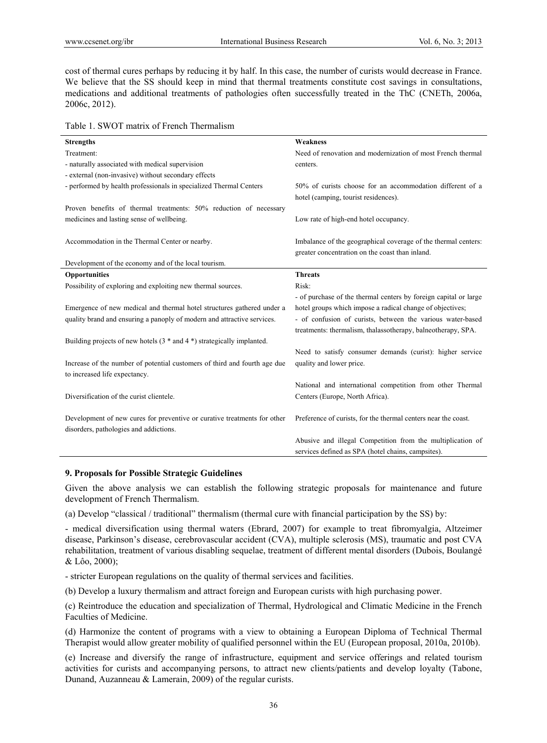cost of thermal cures perhaps by reducing it by half. In this case, the number of curists would decrease in France. We believe that the SS should keep in mind that thermal treatments constitute cost savings in consultations, medications and additional treatments of pathologies often successfully treated in the ThC (CNETh, 2006a, 2006c, 2012).

Table 1. SWOT matrix of French Thermalism

| <b>Strengths</b>                                                          | <b>Weakness</b>                                                  |
|---------------------------------------------------------------------------|------------------------------------------------------------------|
| Treatment:                                                                | Need of renovation and modernization of most French thermal      |
| - naturally associated with medical supervision                           | centers.                                                         |
| - external (non-invasive) without secondary effects                       |                                                                  |
| - performed by health professionals in specialized Thermal Centers        | 50% of curists choose for an accommodation different of a        |
|                                                                           | hotel (camping, tourist residences).                             |
| Proven benefits of thermal treatments: 50% reduction of necessary         |                                                                  |
| medicines and lasting sense of wellbeing.                                 | Low rate of high-end hotel occupancy.                            |
|                                                                           |                                                                  |
| Accommodation in the Thermal Center or nearby.                            | Imbalance of the geographical coverage of the thermal centers:   |
|                                                                           | greater concentration on the coast than inland.                  |
| Development of the economy and of the local tourism.                      |                                                                  |
| <b>Opportunities</b>                                                      | <b>Threats</b>                                                   |
| Possibility of exploring and exploiting new thermal sources.              | Risk:                                                            |
|                                                                           | - of purchase of the thermal centers by foreign capital or large |
| Emergence of new medical and thermal hotel structures gathered under a    | hotel groups which impose a radical change of objectives;        |
| quality brand and ensuring a panoply of modern and attractive services.   | - of confusion of curists, between the various water-based       |
|                                                                           | treatments: thermalism, thalassotherapy, balneotherapy, SPA.     |
| Building projects of new hotels $(3 * and 4 *)$ strategically implanted.  |                                                                  |
|                                                                           | Need to satisfy consumer demands (curist): higher service        |
| Increase of the number of potential customers of third and fourth age due | quality and lower price.                                         |
| to increased life expectancy.                                             |                                                                  |
|                                                                           | National and international competition from other Thermal        |
| Diversification of the curist clientele.                                  | Centers (Europe, North Africa).                                  |
|                                                                           |                                                                  |
| Development of new cures for preventive or curative treatments for other  | Preference of curists, for the thermal centers near the coast.   |
| disorders, pathologies and addictions.                                    |                                                                  |
|                                                                           | Abusive and illegal Competition from the multiplication of       |
|                                                                           | services defined as SPA (hotel chains, campsites).               |

# **9. Proposals for Possible Strategic Guidelines**

Given the above analysis we can establish the following strategic proposals for maintenance and future development of French Thermalism.

(a) Develop "classical / traditional" thermalism (thermal cure with financial participation by the SS) by:

- medical diversification using thermal waters (Ebrard, 2007) for example to treat fibromyalgia, Altzeimer disease, Parkinson's disease, cerebrovascular accident (CVA), multiple sclerosis (MS), traumatic and post CVA rehabilitation, treatment of various disabling sequelae, treatment of different mental disorders (Dubois, Boulangé & Lôo, 2000);

- stricter European regulations on the quality of thermal services and facilities.

(b) Develop a luxury thermalism and attract foreign and European curists with high purchasing power.

(c) Reintroduce the education and specialization of Thermal, Hydrological and Climatic Medicine in the French Faculties of Medicine.

(d) Harmonize the content of programs with a view to obtaining a European Diploma of Technical Thermal Therapist would allow greater mobility of qualified personnel within the EU (European proposal, 2010a, 2010b).

(e) Increase and diversify the range of infrastructure, equipment and service offerings and related tourism activities for curists and accompanying persons, to attract new clients/patients and develop loyalty (Tabone, Dunand, Auzanneau & Lamerain, 2009) of the regular curists.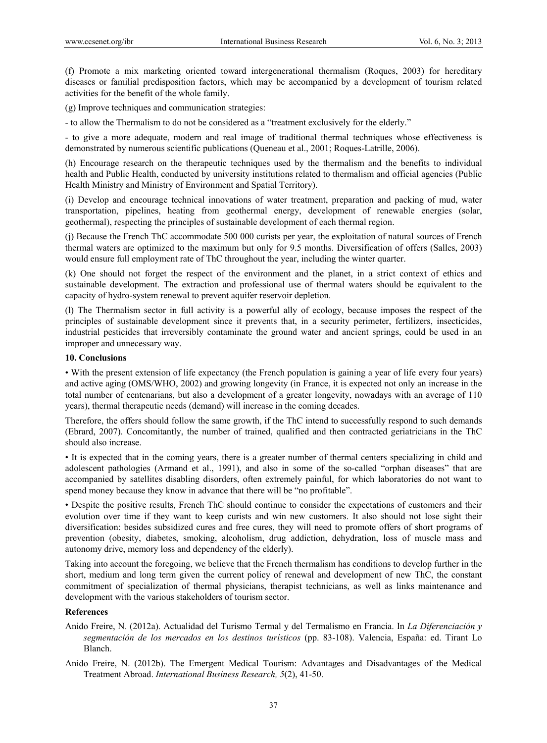(f) Promote a mix marketing oriented toward intergenerational thermalism (Roques, 2003) for hereditary diseases or familial predisposition factors, which may be accompanied by a development of tourism related activities for the benefit of the whole family.

(g) Improve techniques and communication strategies:

- to allow the Thermalism to do not be considered as a "treatment exclusively for the elderly."

- to give a more adequate, modern and real image of traditional thermal techniques whose effectiveness is demonstrated by numerous scientific publications (Queneau et al., 2001; Roques-Latrille, 2006).

(h) Encourage research on the therapeutic techniques used by the thermalism and the benefits to individual health and Public Health, conducted by university institutions related to thermalism and official agencies (Public Health Ministry and Ministry of Environment and Spatial Territory).

(i) Develop and encourage technical innovations of water treatment, preparation and packing of mud, water transportation, pipelines, heating from geothermal energy, development of renewable energies (solar, geothermal), respecting the principles of sustainable development of each thermal region.

(j) Because the French ThC accommodate 500 000 curists per year, the exploitation of natural sources of French thermal waters are optimized to the maximum but only for 9.5 months. Diversification of offers (Salles, 2003) would ensure full employment rate of ThC throughout the year, including the winter quarter.

(k) One should not forget the respect of the environment and the planet, in a strict context of ethics and sustainable development. The extraction and professional use of thermal waters should be equivalent to the capacity of hydro-system renewal to prevent aquifer reservoir depletion.

(l) The Thermalism sector in full activity is a powerful ally of ecology, because imposes the respect of the principles of sustainable development since it prevents that, in a security perimeter, fertilizers, insecticides, industrial pesticides that irreversibly contaminate the ground water and ancient springs, could be used in an improper and unnecessary way.

# **10. Conclusions**

• With the present extension of life expectancy (the French population is gaining a year of life every four years) and active aging (OMS/WHO, 2002) and growing longevity (in France, it is expected not only an increase in the total number of centenarians, but also a development of a greater longevity, nowadays with an average of 110 years), thermal therapeutic needs (demand) will increase in the coming decades.

Therefore, the offers should follow the same growth, if the ThC intend to successfully respond to such demands (Ebrard, 2007). Concomitantly, the number of trained, qualified and then contracted geriatricians in the ThC should also increase.

• It is expected that in the coming years, there is a greater number of thermal centers specializing in child and adolescent pathologies (Armand et al., 1991), and also in some of the so-called "orphan diseases" that are accompanied by satellites disabling disorders, often extremely painful, for which laboratories do not want to spend money because they know in advance that there will be "no profitable".

• Despite the positive results, French ThC should continue to consider the expectations of customers and their evolution over time if they want to keep curists and win new customers. It also should not lose sight their diversification: besides subsidized cures and free cures, they will need to promote offers of short programs of prevention (obesity, diabetes, smoking, alcoholism, drug addiction, dehydration, loss of muscle mass and autonomy drive, memory loss and dependency of the elderly).

Taking into account the foregoing, we believe that the French thermalism has conditions to develop further in the short, medium and long term given the current policy of renewal and development of new ThC, the constant commitment of specialization of thermal physicians, therapist technicians, as well as links maintenance and development with the various stakeholders of tourism sector.

### **References**

- Anido Freire, N. (2012a). Actualidad del Turismo Termal y del Termalismo en Francia. In *La Diferenciación y segmentación de los mercados en los destinos turísticos* (pp. 83-108). Valencia, España: ed. Tirant Lo Blanch.
- Anido Freire, N. (2012b). The Emergent Medical Tourism: Advantages and Disadvantages of the Medical Treatment Abroad. *International Business Research, 5*(2), 41-50.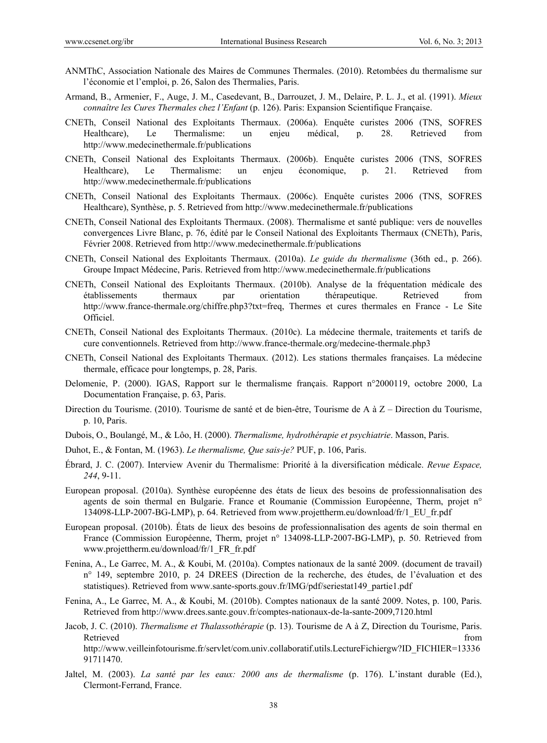- ANMThC, Association Nationale des Maires de Communes Thermales. (2010). Retombées du thermalisme sur l'économie et l'emploi, p. 26, Salon des Thermalies, Paris.
- Armand, B., Armenier, F., Auge, J. M., Casedevant, B., Darrouzet, J. M., Delaire, P. L. J., et al. (1991). *Mieux connaître les Cures Thermales chez l'Enfant* (p. 126). Paris: Expansion Scientifique Française.
- CNETh, Conseil National des Exploitants Thermaux. (2006a). Enquête curistes 2006 (TNS, SOFRES Healthcare), Le Thermalisme: un enjeu médical, p. 28. Retrieved from http://www.medecinethermale.fr/publications
- CNETh, Conseil National des Exploitants Thermaux. (2006b). Enquête curistes 2006 (TNS, SOFRES Healthcare), Le Thermalisme: un enjeu économique, p. 21. Retrieved from http://www.medecinethermale.fr/publications
- CNETh, Conseil National des Exploitants Thermaux. (2006c). Enquête curistes 2006 (TNS, SOFRES Healthcare), Synthèse, p. 5. Retrieved from http://www.medecinethermale.fr/publications
- CNETh, Conseil National des Exploitants Thermaux. (2008). Thermalisme et santé publique: vers de nouvelles convergences Livre Blanc, p. 76, édité par le Conseil National des Exploitants Thermaux (CNETh), Paris, Février 2008. Retrieved from http://www.medecinethermale.fr/publications
- CNETh, Conseil National des Exploitants Thermaux. (2010a). *Le guide du thermalisme* (36th ed., p. 266). Groupe Impact Médecine, Paris. Retrieved from http://www.medecinethermale.fr/publications
- CNETh, Conseil National des Exploitants Thermaux. (2010b). Analyse de la fréquentation médicale des établissements thermaux par orientation thérapeutique. Retrieved from http://www.france-thermale.org/chiffre.php3?txt=freq, Thermes et cures thermales en France - Le Site Officiel.
- CNETh, Conseil National des Exploitants Thermaux. (2010c). La médecine thermale, traitements et tarifs de cure conventionnels. Retrieved from http://www.france-thermale.org/medecine-thermale.php3
- CNETh, Conseil National des Exploitants Thermaux. (2012). Les stations thermales françaises. La médecine thermale, efficace pour longtemps, p. 28, Paris.
- Delomenie, P. (2000). IGAS, Rapport sur le thermalisme français. Rapport n°2000119, octobre 2000, La Documentation Française, p. 63, Paris.
- Direction du Tourisme. (2010). Tourisme de santé et de bien-être, Tourisme de A à Z Direction du Tourisme, p. 10, Paris.
- Dubois, O., Boulangé, M., & Lôo, H. (2000). *Thermalisme, hydrothérapie et psychiatrie*. Masson, Paris.
- Duhot, E., & Fontan, M. (1963). *Le thermalisme, Que sais-je?* PUF, p. 106, Paris.
- Ébrard, J. C. (2007). Interview Avenir du Thermalisme: Priorité à la diversification médicale. *Revue Espace, 244*, 9-11.
- European proposal. (2010a). Synthèse européenne des états de lieux des besoins de professionnalisation des agents de soin thermal en Bulgarie. France et Roumanie (Commission Européenne, Therm, projet n° 134098-LLP-2007-BG-LMP), p. 64. Retrieved from www.projettherm.eu/download/fr/1\_EU\_fr.pdf
- European proposal. (2010b). États de lieux des besoins de professionnalisation des agents de soin thermal en France (Commission Européenne, Therm, projet n° 134098-LLP-2007-BG-LMP), p. 50. Retrieved from www.projettherm.eu/download/fr/1\_FR\_fr.pdf
- Fenina, A., Le Garrec, M. A., & Koubi, M. (2010a). Comptes nationaux de la santé 2009. (document de travail) n° 149, septembre 2010, p. 24 DREES (Direction de la recherche, des études, de l'évaluation et des statistiques). Retrieved from www.sante-sports.gouv.fr/IMG/pdf/seriestat149\_partie1.pdf
- Fenina, A., Le Garrec, M. A., & Koubi, M. (2010b). Comptes nationaux de la santé 2009. Notes, p. 100, Paris. Retrieved from http://www.drees.sante.gouv.fr/comptes-nationaux-de-la-sante-2009,7120.html
- Jacob, J. C. (2010). *Thermalisme et Thalassothérapie* (p. 13). Tourisme de A à Z, Direction du Tourisme, Paris. Retrieved that the contract of the contract of the contract of the contract of the contract of the contract of the contract of the contract of the contract of the contract of the contract of the contract of the contract of http://www.veilleinfotourisme.fr/servlet/com.univ.collaboratif.utils.LectureFichiergw?ID\_FICHIER=13336 91711470.
- Jaltel, M. (2003). *La santé par les eaux: 2000 ans de thermalisme* (p. 176). L'instant durable (Ed.), Clermont-Ferrand, France.